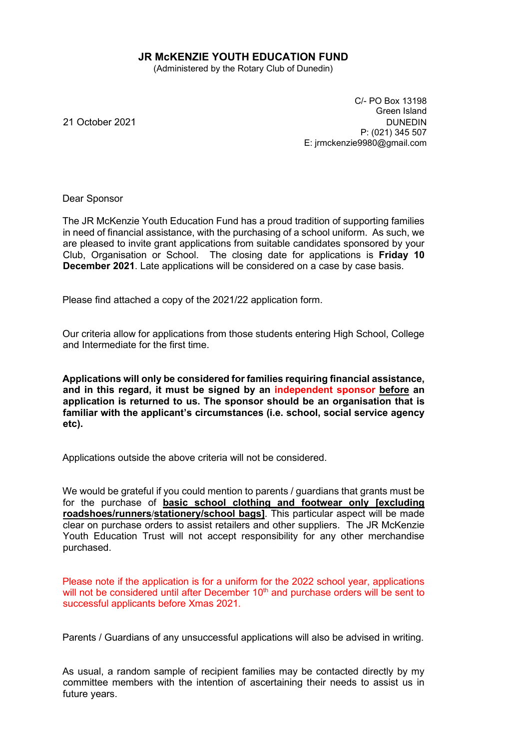## **JR McKENZIE YOUTH EDUCATION FUND**

(Administered by the Rotary Club of Dunedin)

21 October 2021

 C/- PO Box 13198 Green Island<br>DUNEDIN P: (021) 345 507 E: jrmckenzie9980@gmail.com

Dear Sponsor

The JR McKenzie Youth Education Fund has a proud tradition of supporting families in need of financial assistance, with the purchasing of a school uniform. As such, we are pleased to invite grant applications from suitable candidates sponsored by your Club, Organisation or School. The closing date for applications is **Friday 10 December 2021**. Late applications will be considered on a case by case basis.

Please find attached a copy of the 2021/22 application form.

Our criteria allow for applications from those students entering High School, College and Intermediate for the first time.

**Applications will only be considered for families requiring financial assistance, and in this regard, it must be signed by an independent sponsor before an application is returned to us. The sponsor should be an organisation that is familiar with the applicant's circumstances (i.e. school, social service agency etc).**

Applications outside the above criteria will not be considered.

We would be grateful if you could mention to parents / guardians that grants must be for the purchase of **basic school clothing and footwear only [excluding roadshoes/runners**/**stationery/school bags]**. This particular aspect will be made clear on purchase orders to assist retailers and other suppliers. The JR McKenzie Youth Education Trust will not accept responsibility for any other merchandise purchased.

Please note if the application is for a uniform for the 2022 school year, applications will not be considered until after December  $10<sup>th</sup>$  and purchase orders will be sent to successful applicants before Xmas 2021.

Parents / Guardians of any unsuccessful applications will also be advised in writing.

As usual, a random sample of recipient families may be contacted directly by my committee members with the intention of ascertaining their needs to assist us in future years.